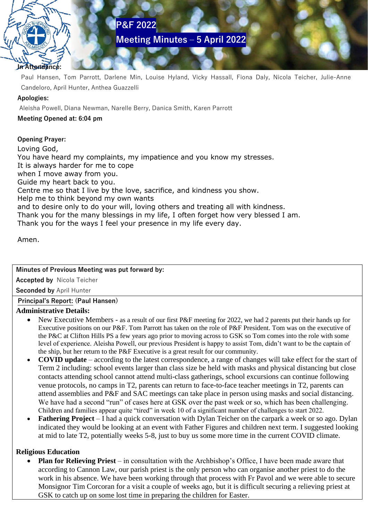# **Meeting Minutes – 5 April 2022**

# **In Attendance:**

Paul Hansen, Tom Parrott, Darlene Min, Louise Hyland, Vicky Hassall, Fiona Daly, Nicola Teicher, Julie-Anne Candeloro, April Hunter, Anthea Guazzelli

#### **Apologies:**

Aleisha Powell, Diana Newman, Narelle Berry, Danica Smith, Karen Parrott

**P&F 2022**

#### **Meeting Opened at: 6:04 pm**

**Opening Prayer:**

Loving God, You have heard my complaints, my impatience and you know my stresses. It is always harder for me to cope when I move away from you. Guide my heart back to you. Centre me so that I live by the love, sacrifice, and kindness you show. Help me to think beyond my own wants and to desire only to do your will, loving others and treating all with kindness. Thank you for the many blessings in my life, I often forget how very blessed I am. Thank you for the ways I feel your presence in my life every day.

Amen.

## **Minutes of Previous Meeting was put forward by:**

**Accepted by** Nicola Teicher

**Seconded by** April Hunter

## **Principal's Report: (Paul Hansen)**

## **Administrative Details:**

- New Executive Members as a result of our first P&F meeting for 2022, we had 2 parents put their hands up for Executive positions on our P&F. Tom Parrott has taken on the role of P&F President. Tom was on the executive of the P&C at Clifton Hills PS a few years ago prior to moving across to GSK so Tom comes into the role with some level of experience. Aleisha Powell, our previous President is happy to assist Tom, didn't want to be the captain of the ship, but her return to the P&F Executive is a great result for our community.
- **COVID update** according to the latest correspondence, a range of changes will take effect for the start of Term 2 including: school events larger than class size be held with masks and physical distancing but close contacts attending school cannot attend multi-class gatherings, school excursions can continue following venue protocols, no camps in T2, parents can return to face-to-face teacher meetings in T2, parents can attend assemblies and P&F and SAC meetings can take place in person using masks and social distancing. We have had a second "run" of cases here at GSK over the past week or so, which has been challenging. Children and families appear quite "tired" in week 10 of a significant number of challenges to start 2022.
- **Fathering Project** I had a quick conversation with Dylan Teicher on the carpark a week or so ago. Dylan indicated they would be looking at an event with Father Figures and children next term. I suggested looking at mid to late T2, potentially weeks 5-8, just to buy us some more time in the current COVID climate.

## **Religious Education**

• **Plan for Relieving Priest** – in consultation with the Archbishop's Office, I have been made aware that according to Cannon Law, our parish priest is the only person who can organise another priest to do the work in his absence. We have been working through that process with Fr Pavol and we were able to secure Monsignor Tim Corcoran for a visit a couple of weeks ago, but it is difficult securing a relieving priest at GSK to catch up on some lost time in preparing the children for Easter.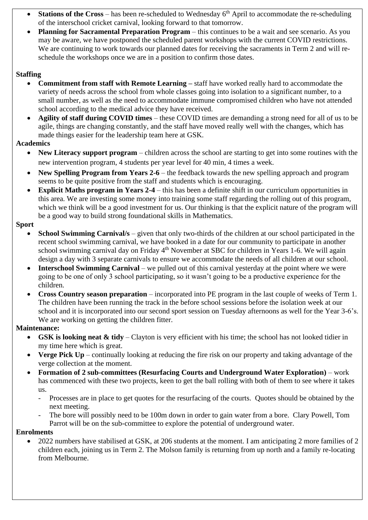- **Stations of the Cross** has been re-scheduled to Wednesday  $6<sup>th</sup>$  April to accommodate the re-scheduling of the interschool cricket carnival, looking forward to that tomorrow.
- **Planning for Sacramental Preparation Program** this continues to be a wait and see scenario. As you may be aware, we have postponed the scheduled parent workshops with the current COVID restrictions. We are continuing to work towards our planned dates for receiving the sacraments in Term 2 and will reschedule the workshops once we are in a position to confirm those dates.

## **Staffing**

- **Commitment from staff with Remote Learning** staff have worked really hard to accommodate the variety of needs across the school from whole classes going into isolation to a significant number, to a small number, as well as the need to accommodate immune compromised children who have not attended school according to the medical advice they have received.
- **Agility of staff during COVID times** these COVID times are demanding a strong need for all of us to be agile, things are changing constantly, and the staff have moved really well with the changes, which has made things easier for the leadership team here at GSK.

## **Academics**

- **New Literacy support program** children across the school are starting to get into some routines with the new intervention program, 4 students per year level for 40 min, 4 times a week.
- **New Spelling Program from Years 2-6** the feedback towards the new spelling approach and program seems to be quite positive from the staff and students which is encouraging.
- **Explicit Maths program in Years 2-4** this has been a definite shift in our curriculum opportunities in this area. We are investing some money into training some staff regarding the rolling out of this program, which we think will be a good investment for us. Our thinking is that the explicit nature of the program will be a good way to build strong foundational skills in Mathematics.

## **Sport**

- **School Swimming Carnival**/s given that only two-thirds of the children at our school participated in the recent school swimming carnival, we have booked in a date for our community to participate in another school swimming carnival day on Friday  $4<sup>th</sup>$  November at SBC for children in Years 1-6. We will again design a day with 3 separate carnivals to ensure we accommodate the needs of all children at our school.
- **Interschool Swimming Carnival** we pulled out of this carnival yesterday at the point where we were going to be one of only 3 school participating, so it wasn't going to be a productive experience for the children.
- **Cross Country season preparation** incorporated into PE program in the last couple of weeks of Term 1. The children have been running the track in the before school sessions before the isolation week at our school and it is incorporated into our second sport session on Tuesday afternoons as well for the Year 3-6's. We are working on getting the children fitter.

## **Maintenance:**

- **GSK is looking neat & tidy** Clayton is very efficient with his time; the school has not looked tidier in my time here which is great.
- **Verge Pick Up** continually looking at reducing the fire risk on our property and taking advantage of the verge collection at the moment.
- **Formation of 2 sub-committees (Resurfacing Courts and Underground Water Exploration)** work has commenced with these two projects, keen to get the ball rolling with both of them to see where it takes us.
	- Processes are in place to get quotes for the resurfacing of the courts. Quotes should be obtained by the next meeting.
	- The bore will possibly need to be 100m down in order to gain water from a bore. Clary Powell, Tom Parrot will be on the sub-committee to explore the potential of underground water.

## **Enrolments**

• 2022 numbers have stabilised at GSK, at 206 students at the moment. I am anticipating 2 more families of 2 children each, joining us in Term 2. The Molson family is returning from up north and a family re-locating from Melbourne.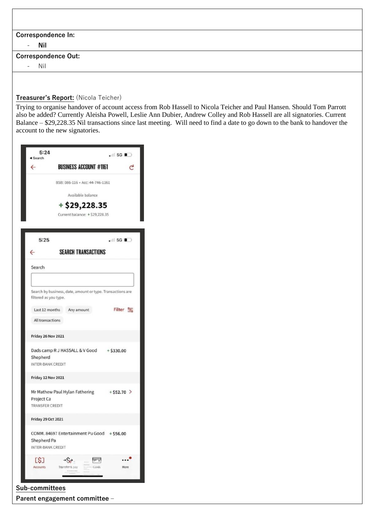## **Correspondence In:**

- **Nil**

#### **Correspondence Out:**

- Nil

#### **Treasurer's Report:** (Nicola Teicher)

Trying to organise handover of account access from Rob Hassell to Nicola Teicher and Paul Hansen. Should Tom Parrott also be added? Currently Aleisha Powell, Leslie Ann Dubier, Andrew Colley and Rob Hassell are all signatories. Current Balance – \$29,228.35 Nil transactions since last meeting. Will need to find a date to go down to the bank to handover the account to the new signatories.

| 5:24<br>Search                |                                                            |                                | $.1$ 5G $\blacksquare$    |
|-------------------------------|------------------------------------------------------------|--------------------------------|---------------------------|
| $\leftarrow$                  | <b>BUSINESS ACCOUNT #1161</b>                              |                                |                           |
|                               | BSB: 086-116 · Acc: 44-746-1161                            |                                |                           |
|                               | Available balance                                          |                                |                           |
|                               | $+$ \$29,228.35                                            |                                |                           |
|                               |                                                            | Current balance: + \$29,228.35 |                           |
| 5:25                          |                                                            |                                | $\cdot$ 5G $\blacksquare$ |
|                               | <b>SEARCH TRANSACTIONS</b>                                 |                                |                           |
| Search                        |                                                            |                                |                           |
|                               |                                                            |                                |                           |
| filtered as you type.         | Search by business, date, amount or type. Transactions are |                                |                           |
| Last 12 months                | Any amount                                                 |                                | Filter $2\frac{6}{10}$    |
| All transactions              |                                                            |                                |                           |
| Friday 26 Nov 2021            |                                                            |                                |                           |
|                               | Dads camp R J HASSALL & V Good + \$330.00                  |                                |                           |
| Shepherd<br>INTER-BANK CREDIT |                                                            |                                |                           |
| Friday 12 Nov 2021            |                                                            |                                |                           |
|                               | Mr Mathew Paul Hylan Fathering + \$52.70 >                 |                                |                           |
| Project Ca<br>TRANSFER CREDIT |                                                            |                                |                           |
| Friday 29 Oct 2021            |                                                            |                                |                           |
|                               |                                                            |                                |                           |
| Shepherd Pa                   | COMM. 84697 Entertainment Pu Good + \$56.00                |                                |                           |
| INTER-BANK CREDIT             |                                                            |                                |                           |
| ES:<br><b>Accounts</b>        | Transfer & pay                                             | Cardio                         | More                      |
|                               |                                                            |                                |                           |

**Parent engagement committee –**